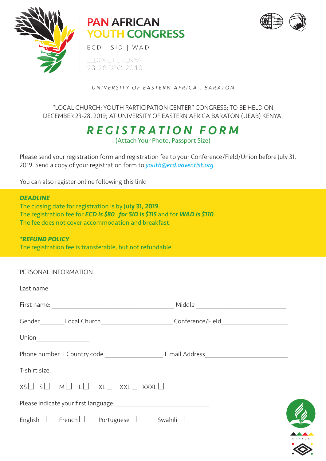

## **PAN AFRICAN YOUTH CONGRESS**



ECD | SID | WAD

ELDORET, KENYA 23-28 DEO 2019

*UNIVERSITY OF EASTERN AFRICA , BARATON*

"LOCAL CHURCH; YOUTH PARTICIPATION CENTER" CONGRESS; TO BE HELD ON DECEMBER 23-28, 2019; AT UNIVERSITY OF EASTERN AFRICA BARATON (UEAB) KENYA.

> *REGISTRATION FORM* (Attach Your Photo, Passport Size)

Please send your registration form and registration fee to your Conference/Field/Union before July 31, 2019. Send a copy of your registration form to *youth@ecd.adventist.org*

You can also register online following this link:

#### *DEADLINE*

The closing date for registration is by July 31, 2019. The registration fee for *ECD is \$80; for SID is \$115* and for *WAD is \$110*. The fee does not cover accommodation and breakfast.

#### *\*REFUND POLICY*

The registration fee is transferable, but not refundable.

| PERSONAL INFORMATION                                                                                                                                                                                                                                                                                                                                                                                         |                                                                        |                                                                                                     |  |
|--------------------------------------------------------------------------------------------------------------------------------------------------------------------------------------------------------------------------------------------------------------------------------------------------------------------------------------------------------------------------------------------------------------|------------------------------------------------------------------------|-----------------------------------------------------------------------------------------------------|--|
|                                                                                                                                                                                                                                                                                                                                                                                                              |                                                                        |                                                                                                     |  |
|                                                                                                                                                                                                                                                                                                                                                                                                              |                                                                        |                                                                                                     |  |
|                                                                                                                                                                                                                                                                                                                                                                                                              |                                                                        | Gender__________Local Church____________________________Conference/Field___________________________ |  |
| $\begin{tabular}{c} Union \rule[1mm]{1mm}{2mm} \rule[1mm]{1mm}{2mm} \rule[1mm]{1mm}{2mm} \rule[1mm]{1mm}{2mm} \rule[1mm]{1mm}{2mm} \rule[1mm]{1mm}{2mm} \rule[1mm]{1mm}{2mm} \rule[1mm]{1mm}{2mm} \rule[1mm]{1mm}{2mm} \rule[1mm]{1mm}{2mm} \rule[1mm]{1mm}{2mm} \rule[1mm]{1mm}{2mm} \rule[1mm]{1mm}{2mm} \rule[1mm]{1mm}{2mm} \rule[1mm]{1mm}{2mm} \rule[1mm]{1mm}{2mm} \rule[1mm]{1mm}{2mm} \rule[1mm]{1$ |                                                                        |                                                                                                     |  |
|                                                                                                                                                                                                                                                                                                                                                                                                              |                                                                        |                                                                                                     |  |
| T-shirt size:                                                                                                                                                                                                                                                                                                                                                                                                |                                                                        |                                                                                                     |  |
|                                                                                                                                                                                                                                                                                                                                                                                                              | $XS \square S \square M \square L \square XL \square XXL \square XXXL$ |                                                                                                     |  |
|                                                                                                                                                                                                                                                                                                                                                                                                              |                                                                        |                                                                                                     |  |
|                                                                                                                                                                                                                                                                                                                                                                                                              | $English \Box$ French $\Box$ Portuguese $\Box$ Swahili                 |                                                                                                     |  |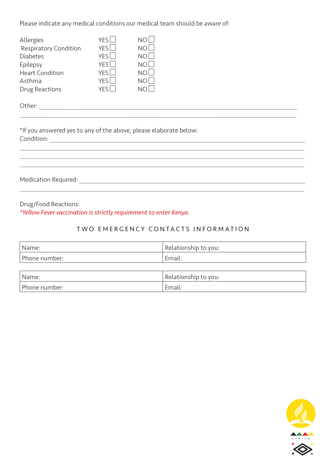Please indicate any medical conditions our medical team should be aware of:

| Allergies                    | YFS <sup>I</sup> | NO        |
|------------------------------|------------------|-----------|
| <b>Respiratory Condition</b> | YFS <sup>I</sup> | <b>NO</b> |
| Diabetes                     | <b>YFS</b>       | N()       |
| Epilepsy                     | YFS <sup>I</sup> | N()       |
| <b>Heart Condition</b>       | YFS <sup>I</sup> | N()       |
| Asthma                       | YFS <sup>I</sup> |           |
| Drug Reactions               | <b>VES</b>       |           |

Other: \_\_\_\_\_\_\_\_\_\_\_\_\_\_\_\_\_\_\_\_\_\_\_\_\_\_\_\_\_\_\_\_\_\_\_\_\_\_\_\_\_\_\_\_\_\_\_\_\_\_\_\_\_\_\_\_\_\_\_\_\_\_\_\_\_\_\_\_\_\_\_\_\_\_\_\_\_\_\_\_\_\_\_\_\_\_\_\_\_\_\_\_\_\_\_\_\_

\*If you answered yes to any of the above, please elaborate below: Condition: \_\_\_\_\_\_\_\_\_\_\_\_\_\_\_\_\_\_\_\_\_\_\_\_\_\_\_\_\_\_\_\_\_\_\_\_\_\_\_\_\_\_\_\_\_\_\_\_\_\_\_\_\_\_\_\_\_\_\_\_\_\_\_\_\_\_\_\_\_\_\_\_\_\_\_\_\_\_\_\_\_\_\_\_\_\_\_\_\_\_\_\_\_\_\_\_

Medication Required: \_\_\_\_\_\_\_\_\_\_\_\_\_\_\_\_\_\_\_\_\_\_\_\_\_\_\_\_\_\_\_\_\_\_\_\_\_\_\_\_\_\_\_\_\_\_\_\_\_\_\_\_\_\_\_\_\_\_\_\_\_\_\_\_\_\_\_\_\_\_\_\_\_\_\_\_\_\_\_\_\_\_\_\_\_

Drug/Food Reactions:

*\*Yellow Fever vaccination is strictly requirement to enter Kenya.*

#### TWO EMERGENCY CONTACTS INFORMATION

 $\mathcal{L}_\mathcal{L} = \mathcal{L}_\mathcal{L} = \mathcal{L}_\mathcal{L} = \mathcal{L}_\mathcal{L} = \mathcal{L}_\mathcal{L} = \mathcal{L}_\mathcal{L} = \mathcal{L}_\mathcal{L} = \mathcal{L}_\mathcal{L} = \mathcal{L}_\mathcal{L} = \mathcal{L}_\mathcal{L} = \mathcal{L}_\mathcal{L} = \mathcal{L}_\mathcal{L} = \mathcal{L}_\mathcal{L} = \mathcal{L}_\mathcal{L} = \mathcal{L}_\mathcal{L} = \mathcal{L}_\mathcal{L} = \mathcal{L}_\mathcal{L}$ 

 $\mathcal{L}_\mathcal{L} = \mathcal{L}_\mathcal{L} = \mathcal{L}_\mathcal{L} = \mathcal{L}_\mathcal{L} = \mathcal{L}_\mathcal{L} = \mathcal{L}_\mathcal{L} = \mathcal{L}_\mathcal{L} = \mathcal{L}_\mathcal{L} = \mathcal{L}_\mathcal{L} = \mathcal{L}_\mathcal{L} = \mathcal{L}_\mathcal{L} = \mathcal{L}_\mathcal{L} = \mathcal{L}_\mathcal{L} = \mathcal{L}_\mathcal{L} = \mathcal{L}_\mathcal{L} = \mathcal{L}_\mathcal{L} = \mathcal{L}_\mathcal{L}$  $\mathcal{L}_\mathcal{L} = \mathcal{L}_\mathcal{L} = \mathcal{L}_\mathcal{L} = \mathcal{L}_\mathcal{L} = \mathcal{L}_\mathcal{L} = \mathcal{L}_\mathcal{L} = \mathcal{L}_\mathcal{L} = \mathcal{L}_\mathcal{L} = \mathcal{L}_\mathcal{L} = \mathcal{L}_\mathcal{L} = \mathcal{L}_\mathcal{L} = \mathcal{L}_\mathcal{L} = \mathcal{L}_\mathcal{L} = \mathcal{L}_\mathcal{L} = \mathcal{L}_\mathcal{L} = \mathcal{L}_\mathcal{L} = \mathcal{L}_\mathcal{L}$ 

| "Name:        | Relationship to you: |
|---------------|----------------------|
| Phone number: | malu.                |

| Name:         | Relationship to you: |
|---------------|----------------------|
| Phone number: | Email:               |

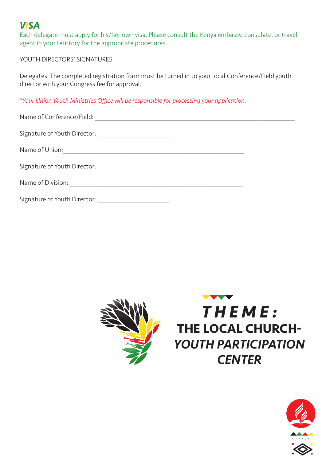## *VISA*

Each delegate must apply for his/her own visa. Please consult the Kenya embassy, consulate, or travel agent in your territory for the appropriate procedures.

#### YOUTH DIRECTORS' SIGNATURES

Delegates: The completed registration form must be turned in to your local Conference/Field youth director with your Congress fee for approval.

*\*Your Union Youth Ministries Office will be responsible for processing your application.* 

| Name of Conference/Field: 2008 2009 2010 2020 2021 2022 2023 2024 2022 2022 2023 2024 2022 2023 2024 2022 2023                           |  |
|------------------------------------------------------------------------------------------------------------------------------------------|--|
|                                                                                                                                          |  |
| Name of Union:<br><u> 1980 - Jan Barat, marka masjid a shekara ta 1980 a shekara ta 1980 a shekara ta 1980 a shekara ta 1980 a sheka</u> |  |
|                                                                                                                                          |  |
|                                                                                                                                          |  |
| Signature of Youth Director: _________________________                                                                                   |  |





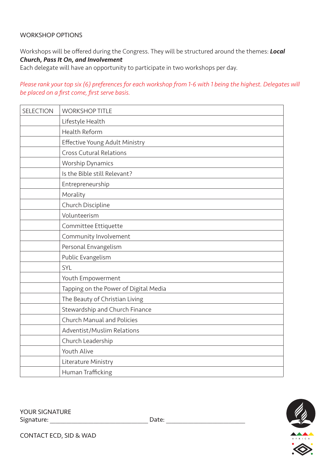#### WORKSHOP OPTIONS

Workshops will be offered during the Congress. They will be structured around the themes: *Local Church, Pass It On, and Involvement*

Each delegate will have an opportunity to participate in two workshops per day.

*Please rank your top six (6) preferences for each workshop from 1-6 with 1 being the highest. Delegates will be placed on a first come, first serve basis.* 

| SELECTION | <b>WORKSHOP TITLE</b>                 |
|-----------|---------------------------------------|
|           | Lifestyle Health                      |
|           | Health Reform                         |
|           | Effective Young Adult Ministry        |
|           | <b>Cross Cutural Relations</b>        |
|           | <b>Worship Dynamics</b>               |
|           | Is the Bible still Relevant?          |
|           | Entrepreneurship                      |
|           | Morality                              |
|           | Church Discipline                     |
|           | Volunteerism                          |
|           | Committee Ettiquette                  |
|           | Community Involvement                 |
|           | Personal Envangelism                  |
|           | Public Evangelism                     |
|           | SYL                                   |
|           | Youth Empowerment                     |
|           | Tapping on the Power of Digital Media |
|           | The Beauty of Christian Living        |
|           | Stewardship and Church Finance        |
|           | <b>Church Manual and Policies</b>     |
|           | Adventist/Muslim Relations            |
|           | Church Leadership                     |
|           | Youth Alive                           |
|           | Literature Ministry                   |
|           | Human Trafficking                     |

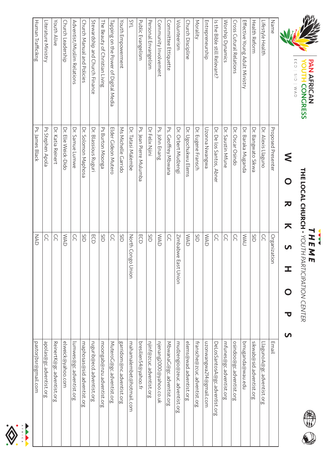

**THE LOCAL CHURCH - YOUTH PARTICIPATION CENTER**<br>THE LOCAL CHURCH - YOUTH PARTICIPATION CENTER **THE LOCAL CHURCH -** *THEME YOUTH PARTICIPATION CENTER*



# $\leq$ WORKSHOPS O R K S H O P  $\overline{a}$

| Name                                  | Proposed Presenter         | Organization           | <b>Email</b>                  |
|---------------------------------------|----------------------------|------------------------|-------------------------------|
| Lifestyle Health                      | Dr. Alexis Llaguno         | S                      | LlagunoA@gc.adventist.org     |
| Health Reform                         | Dr. Bangwato Sikwa         | $\frac{1}{2}$          | sikwab@sid.adventist.org      |
| Effective Young Adult Ministry        | Dr. Baraka Muganda         | <b>UAW</b>             | bmuganda@wau.edu              |
| Cross Cutural Relations               | Dr. Oscar Osindo           | S                      | osindoo@gc.adventist.org      |
| Worship Dynamics                      | Dr. Saustin Mfune          | SC                     | mfunes@gc.adventist.org       |
| ls the Bible still Relevant;          | Dr. De los Santos, Abner   | SC                     | DeLosSantosA@gc.adventist.org |
| Entrepreneurship                      | Ewgnew N snnozU            | <b>NAD</b>             | uzonwangwa214@gmail.com       |
| Morality                              | Dr. Eugene Fransch         | $\frac{1}{2}$          | fransche@zcuc.adventist.org   |
| Church Discipline                     | Dr. Ugochukwu Elems        | <b>NAD</b>             | elems@wad.adventist.org       |
| Volunteerism                          | Dr. Orbert Mudzengi        | Zimbabwe<br>East Union | mudzengio@zeuc.adventist.org  |
| Committee Ettiquette                  | PS.<br>Geoffrey Mbwana     | S                      | MbwanaG@gc.adventist.org      |
| Community Involvement                 | Ps. John Enang             | <b>NAD</b>             | njenang2000@yahoo.co.uk       |
| Personal Envangelism                  | Dr Felix Njiri             | Ξ                      | njinf@zcuc.adventist.org      |
| Public Evangelism                     | Ps. Jean Pierre Mulumba    | ECD                    | bresilien54@yahoo.fr          |
| SYL                                   | Dr. Tatasi Malembe         | North Congo Union      | mahamalembet@hotmail.com      |
| Youth Enpowerment                     | <b>Ns Michelle Carrido</b> | ă                      | garridom@nc.adventist.org     |
| Tapping on the Power of Digital Media | Elder Cideon Mutero        | S                      | MuteroG@gc.adventist.org      |
| The Beauty of Christian Living        | Ps Burton Moonga           | $\frac{1}{2}$          | moongab@nzu.adventist.org     |
| Stewardship and Church Finance        | Dr. Blassious Ruguri       | ECD                    | rugurib@ecd.adventist.org     |
| Church Manual and Policies            | Dr. Solomon Maphosa        | Sip                    | maphosas@sid.adventist.org    |
| Adventist/Muslim Relations            | Dr. Samue Lumwe            | SC                     | lumwes@gc.adventist.org       |
| Church Leadership                     | Dr. Elie Weick-Dido        | <b>NAD</b>             | elweick@yahoo.com             |
| Youth Alive                           | Dr. Katia Reinert          | S                      | ReinertK@gc.adventist.org     |
| Literature Ministry                   | Ps Stephen Apola           | SC                     | apolas@gc.adventist.org       |
| Human Trafficikng                     | Ps. James Black            | NAD                    | pastorjbsr@gmail.com          |